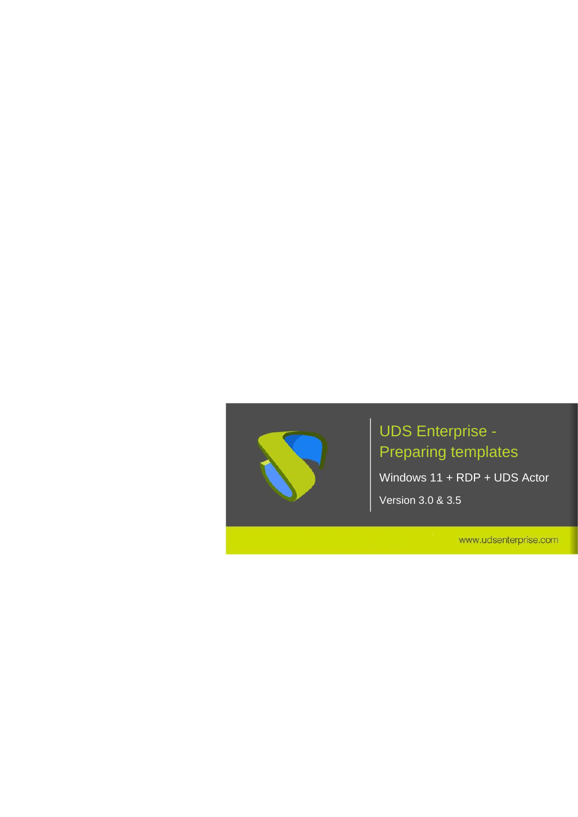

Windows 11 + RDP + UDS Actor Version 3.0 & 3.5

www.udsenterprise.com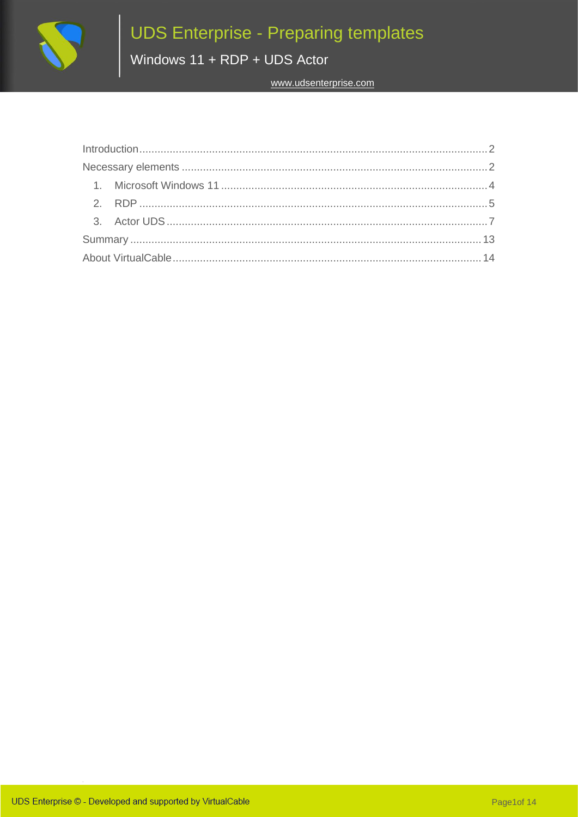

www.udsenterprise.com

| Introduction 2 |  |
|----------------|--|
|                |  |
|                |  |
|                |  |
|                |  |
|                |  |
|                |  |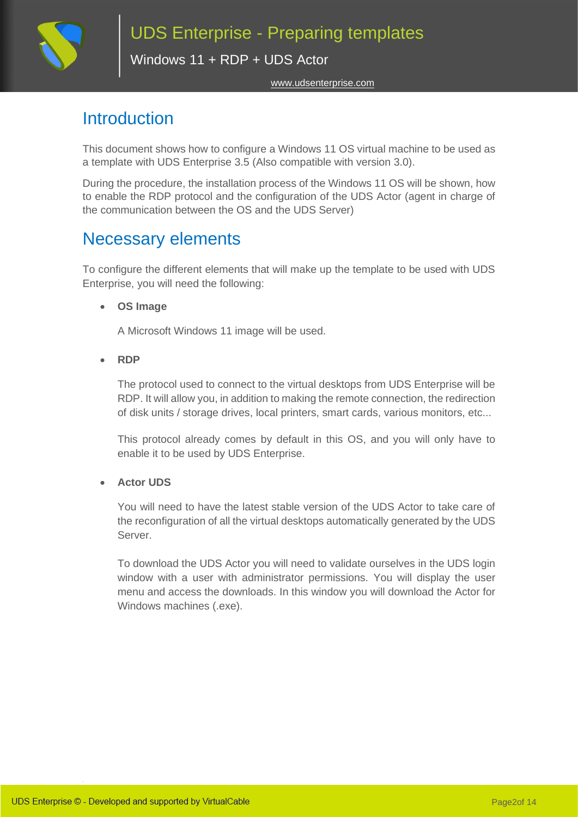

### [www.udsenterprise.com](http://www.udsenterprise.com/)

# <span id="page-2-0"></span>**Introduction**

This document shows how to configure a Windows 11 OS virtual machine to be used as a template with UDS Enterprise 3.5 (Also compatible with version 3.0).

During the procedure, the installation process of the Windows 11 OS will be shown, how to enable the RDP protocol and the configuration of the UDS Actor (agent in charge of the communication between the OS and the UDS Server)

## <span id="page-2-1"></span>Necessary elements

To configure the different elements that will make up the template to be used with UDS Enterprise, you will need the following:

### • **OS Image**

A Microsoft Windows 11 image will be used.

• **RDP**

The protocol used to connect to the virtual desktops from UDS Enterprise will be RDP. It will allow you, in addition to making the remote connection, the redirection of disk units / storage drives, local printers, smart cards, various monitors, etc...

This protocol already comes by default in this OS, and you will only have to enable it to be used by UDS Enterprise.

### • **Actor UDS**

You will need to have the latest stable version of the UDS Actor to take care of the reconfiguration of all the virtual desktops automatically generated by the UDS Server.

To download the UDS Actor you will need to validate ourselves in the UDS login window with a user with administrator permissions. You will display the user menu and access the downloads. In this window you will download the Actor for Windows machines (.exe).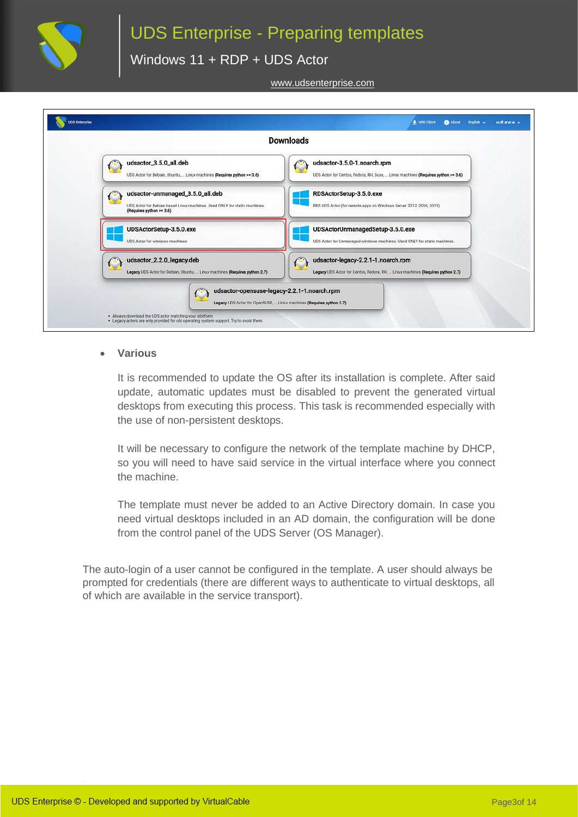

Windows 11 + RDP + UDS Actor

[www.udsenterprise.com](http://www.udsenterprise.com/)

|                                                                                                                                           | <b>Downloads</b>                                                                                                     |
|-------------------------------------------------------------------------------------------------------------------------------------------|----------------------------------------------------------------------------------------------------------------------|
| udsactor_3.5.0_all.deb<br>UDS Actor for Debian, Ubuntu,  Linux machines (Requires python >= 3.6)                                          | udsactor-3.5.0-1.noarch.rpm<br>w<br>UDS Actor for Centos, Fedora, RH, Suse,  Linux machines (Requires python >= 3.6) |
| udsactor-unmanaged_3.5.0_all.deb<br>UDS Actor for Debian based Linux machines. Used ONLY for static machines.<br>(Requires python >= 3.6) | RDSActorSetup-3.5.0.exe<br>RDS UDS Actor (for remote apps on Windows Server 2012, 2016, 2019)                        |
| UDSActorSetup-3.5.0.exe<br>UDS Actor for windows machines                                                                                 | UDSActorUnmanagedSetup-3.5.0.exe<br>UDS Actor for Unmanaged windows machines. Used ONLY for static machines.         |
| udsactor_2.2.0_legacy.deb<br>Legacy UDS Actor for Debian, Ubuntu,  Linux machines (Requires python 2.7)                                   | udsactor-legacy-2.2.1-1.noarch.rpm<br>Legacy UDS Actor for Centos, Fedora, RH,  Linux machines (Requires python 2.7) |
| udsactor-opensuse-legacy-2.2.1-1.noarch.rpm<br>Legacy UDS Actor for OpenSUSE,  Linux machines (Requires python 2.7)                       |                                                                                                                      |

#### • **Various**

It is recommended to update the OS after its installation is complete. After said update, automatic updates must be disabled to prevent the generated virtual desktops from executing this process. This task is recommended especially with the use of non-persistent desktops.

It will be necessary to configure the network of the template machine by DHCP, so you will need to have said service in the virtual interface where you connect the machine.

The template must never be added to an Active Directory domain. In case you need virtual desktops included in an AD domain, the configuration will be done from the control panel of the UDS Server (OS Manager).

The auto-login of a user cannot be configured in the template. A user should always be prompted for credentials (there are different ways to authenticate to virtual desktops, all of which are available in the service transport).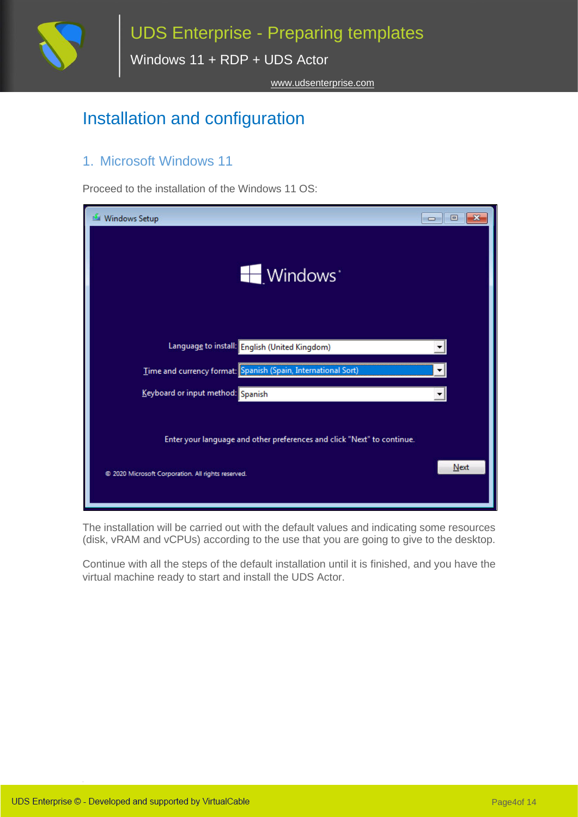

Windows 11 + RDP + UDS Actor

[www.udsenterprise.com](http://www.udsenterprise.com/)

# Installation and configuration

### <span id="page-4-0"></span>1. Microsoft Windows 11

Proceed to the installation of the Windows 11 OS:

| <b>Windows Setup</b><br>回                                                                                                           |
|-------------------------------------------------------------------------------------------------------------------------------------|
| Windows <sup>*</sup>                                                                                                                |
| Language to install: English (United Kingdom)                                                                                       |
| Time and currency format: Spanish (Spain, International Sort)                                                                       |
| Keyboard or input method: Spanish                                                                                                   |
| Enter your language and other preferences and click "Next" to continue.<br>Next<br>2020 Microsoft Corporation. All rights reserved. |

The installation will be carried out with the default values and indicating some resources (disk, vRAM and vCPUs) according to the use that you are going to give to the desktop.

Continue with all the steps of the default installation until it is finished, and you have the virtual machine ready to start and install the UDS Actor.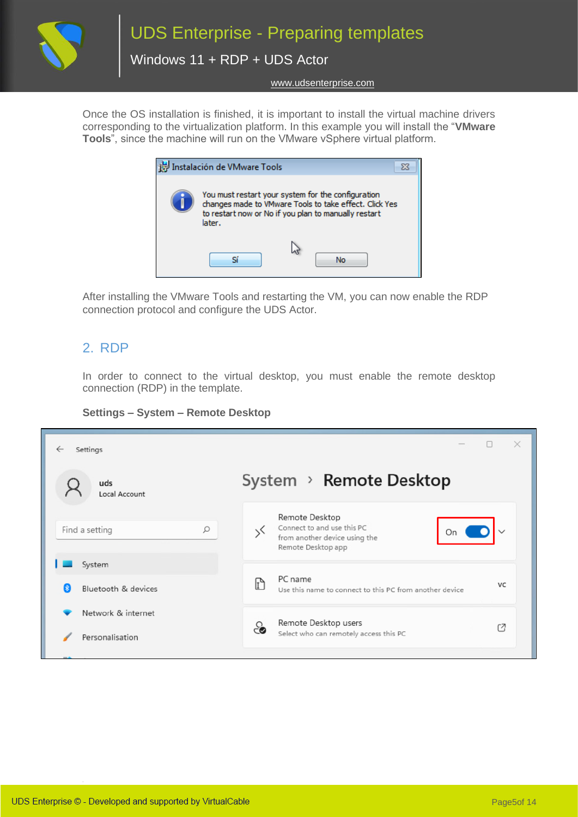

[www.udsenterprise.com](http://www.udsenterprise.com/)

Once the OS installation is finished, it is important to install the virtual machine drivers corresponding to the virtualization platform. In this example you will install the "**VMware Tools**", since the machine will run on the VMware vSphere virtual platform.

| Instalación de VMware Tools                                                                                                                                                    |
|--------------------------------------------------------------------------------------------------------------------------------------------------------------------------------|
| You must restart your system for the configuration<br>changes made to VMware Tools to take effect. Click Yes<br>to restart now or No if you plan to manually restart<br>later. |
| Nο                                                                                                                                                                             |

After installing the VMware Tools and restarting the VM, you can now enable the RDP connection protocol and configure the UDS Actor.

### <span id="page-5-0"></span>2. RDP

In order to connect to the virtual desktop, you must enable the remote desktop connection (RDP) in the template.



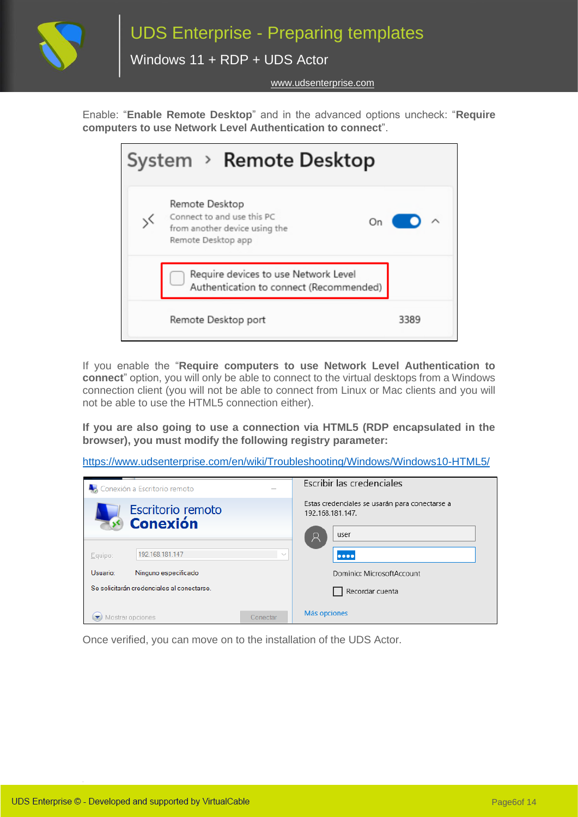

[www.udsenterprise.com](http://www.udsenterprise.com/)

Enable: "**Enable Remote Desktop**" and in the advanced options uncheck: "**Require computers to use Network Level Authentication to connect**".

| System > Remote Desktop                                                                                   |      |  |  |
|-----------------------------------------------------------------------------------------------------------|------|--|--|
| Remote Desktop<br>Connect to and use this PC<br>On<br>from another device using the<br>Remote Desktop app |      |  |  |
| Require devices to use Network Level<br>Authentication to connect (Recommended)                           |      |  |  |
| Remote Desktop port                                                                                       | 3389 |  |  |

If you enable the "**Require computers to use Network Level Authentication to connect**" option, you will only be able to connect to the virtual desktops from a Windows connection client (you will not be able to connect from Linux or Mac clients and you will not be able to use the HTML5 connection either).

**If you are also going to use a connection via HTML5 (RDP encapsulated in the browser), you must modify the following registry parameter:**

[https://www.udsenterprise.com/en/wiki/Troubleshooting/Windows/Windows10-HTML5/](https://www.udsenterprise.com/es/wiki/Troubleshooting/Windows/Windows10-HTML5/)

|                                            | Conexión a Escritorio remoto                            |        | Escribir las credenciales                                                                                         |
|--------------------------------------------|---------------------------------------------------------|--------|-------------------------------------------------------------------------------------------------------------------|
| Equipo:                                    | Escritorio remoto<br><b>Conexión</b><br>192.168.181.147 | $\sim$ | Estas credenciales se usarán para conectarse a<br>192.168.181.147.<br>user<br>Ά<br>$\bullet\bullet\bullet\bullet$ |
| Usuario:                                   | Ninguno especificado                                    |        | Dominio: MicrosoftAccount                                                                                         |
| Se solicitarán credenciales al conectarse. |                                                         |        | Recordar cuenta                                                                                                   |
| Mostrar opciones<br>Conectar               |                                                         |        | Más opciones                                                                                                      |

Once verified, you can move on to the installation of the UDS Actor.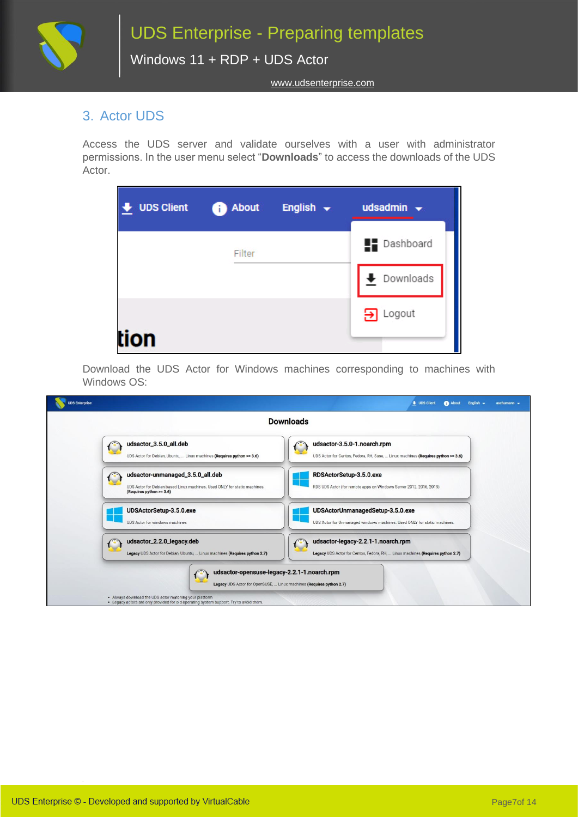

[www.udsenterprise.com](http://www.udsenterprise.com/)

### <span id="page-7-0"></span>3. Actor UDS

Access the UDS server and validate ourselves with a user with administrator permissions. In the user menu select "**Downloads**" to access the downloads of the UDS Actor.

| UDS Client | <b>About</b><br>c) s | English $\sim$ | udsadmin $\rightarrow$ |
|------------|----------------------|----------------|------------------------|
|            | Filter               |                | <b>Dashboard</b>       |
|            |                      |                | Downloads              |
|            |                      |                | $\Box$ Logout          |
| m          |                      |                |                        |

Download the UDS Actor for Windows machines corresponding to machines with Windows OS:

|                                                                                                                                           | <b>Downloads</b>                                                                                                    |
|-------------------------------------------------------------------------------------------------------------------------------------------|---------------------------------------------------------------------------------------------------------------------|
| udsactor_3.5.0_all.deb                                                                                                                    | udsactor-3.5.0-1.noarch.rpm                                                                                         |
| UDS Actor for Debian, Ubuntu,  Linux machines (Requires python >= 3.6)                                                                    | UDS Actor for Centos, Fedora, RH, Suse,  Linux machines (Requires python >= 3.6)                                    |
| udsactor-unmanaged_3.5.0_all.deb<br>UDS Actor for Debian based Linux machines, Used ONLY for static machines.<br>(Requires python >= 3.6) | RDSActorSetup-3.5.0.exe<br>RDS UDS Actor (for remote apps on Windows Server 2012, 2016, 2019)                       |
| UDSActorSetup-3.5.0.exe                                                                                                                   | UDSActorUnmanagedSetup-3.5.0.exe                                                                                    |
| UDS Actor for windows machines                                                                                                            | UDS Actor for Unmanaged windows machines. Used ONLY for static machines.                                            |
| udsactor_2.2.0_legacy.deb                                                                                                                 | udsactor-legacy-2.2.1-1.noarch.rpm                                                                                  |
| Legacy UDS Actor for Debian, Ubuntu,  Linux machines (Requires python 2.7)                                                                | Legacy UDS Actor for Centos, Fedora, RH,  Linux machines (Requires python 2.7)                                      |
|                                                                                                                                           | udsactor-opensuse-legacy-2.2.1-1.noarch.rpm<br>Legacy UDS Actor for OpenSUSE,  Linux machines (Requires python 2.7) |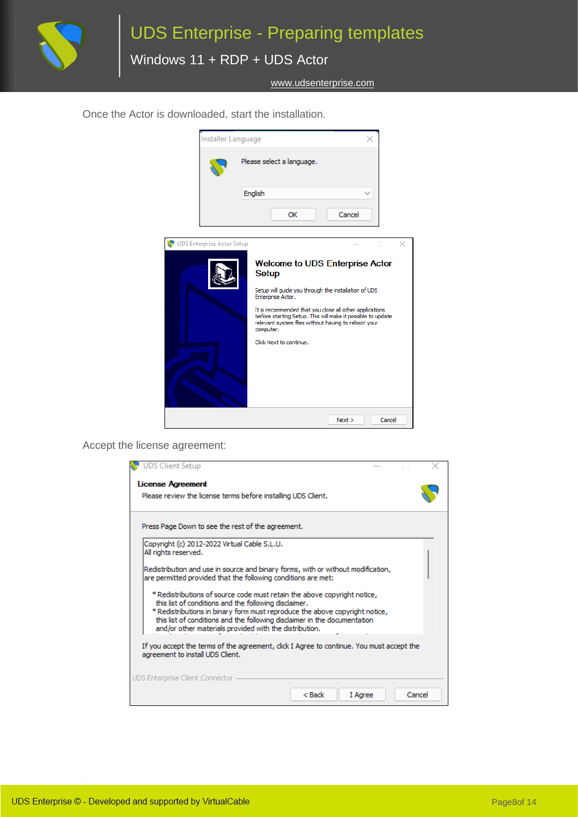

[www.udsenterprise.com](http://www.udsenterprise.com/)

Once the Actor is downloaded, start the installation.



Accept the license agreement:

| <b>DS Client Setup</b>                                                                                                                                                                                                                                                                                                                                 |  |
|--------------------------------------------------------------------------------------------------------------------------------------------------------------------------------------------------------------------------------------------------------------------------------------------------------------------------------------------------------|--|
| License Agreement                                                                                                                                                                                                                                                                                                                                      |  |
| Please review the license terms before installing UDS Client.                                                                                                                                                                                                                                                                                          |  |
| Press Page Down to see the rest of the agreement.                                                                                                                                                                                                                                                                                                      |  |
| Copyright (c) 2012-2022 Virtual Cable S.L.U.<br>All rights reserved.                                                                                                                                                                                                                                                                                   |  |
| Redistribution and use in source and binary forms, with or without modification,<br>are permitted provided that the following conditions are met:                                                                                                                                                                                                      |  |
| *Redistributions of source code must retain the above copyright notice,<br>this list of conditions and the following disclaimer.<br>* Redistributions in binary form must reproduce the above copyright notice,<br>this list of conditions and the following disclaimer in the documentation<br>and/or other materials provided with the distribution. |  |
| If you accept the terms of the agreement, dick I Agree to continue. You must accept the<br>agreement to install UDS Client.                                                                                                                                                                                                                            |  |
| UDS Enterprise Client Connector                                                                                                                                                                                                                                                                                                                        |  |
| $Back$<br>Cancel<br>I Agree                                                                                                                                                                                                                                                                                                                            |  |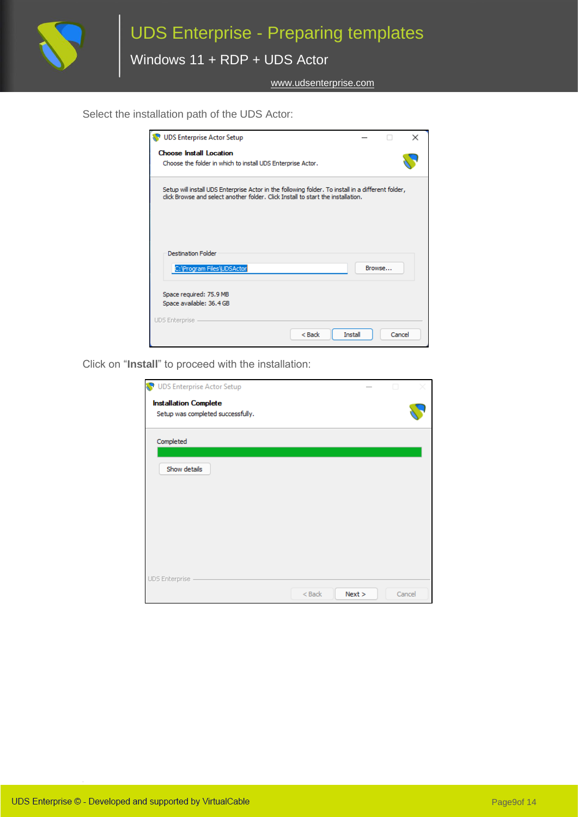

Select the installation path of the UDS Actor:

| UDS Enterprise Actor Setup                                                                                                                                                             |                |        | × |
|----------------------------------------------------------------------------------------------------------------------------------------------------------------------------------------|----------------|--------|---|
| <b>Choose Install Location</b><br>Choose the folder in which to install UDS Enterprise Actor.                                                                                          |                |        |   |
| Setup will install UDS Enterprise Actor in the following folder. To install in a different folder,<br>click Browse and select another folder. Click Install to start the installation. |                |        |   |
| <b>Destination Folder</b><br>C: \Program Files\UDSActor                                                                                                                                |                | Browse |   |
| Space required: 75.9 MB<br>Space available: 36.4 GB<br>UDS Enterprise<br>$Back$                                                                                                        | <b>Install</b> | Cancel |   |

Click on "**Install**" to proceed with the installation:

| UDS Enterprise Actor Setup                                        |          |        |        |
|-------------------------------------------------------------------|----------|--------|--------|
| <b>Installation Complete</b><br>Setup was completed successfully. |          |        |        |
| Completed                                                         |          |        |        |
| Show details                                                      |          |        |        |
|                                                                   |          |        |        |
|                                                                   |          |        |        |
|                                                                   |          |        |        |
|                                                                   |          |        |        |
| UDS Enterprise                                                    |          |        |        |
|                                                                   | $<$ Back | Next > | Cancel |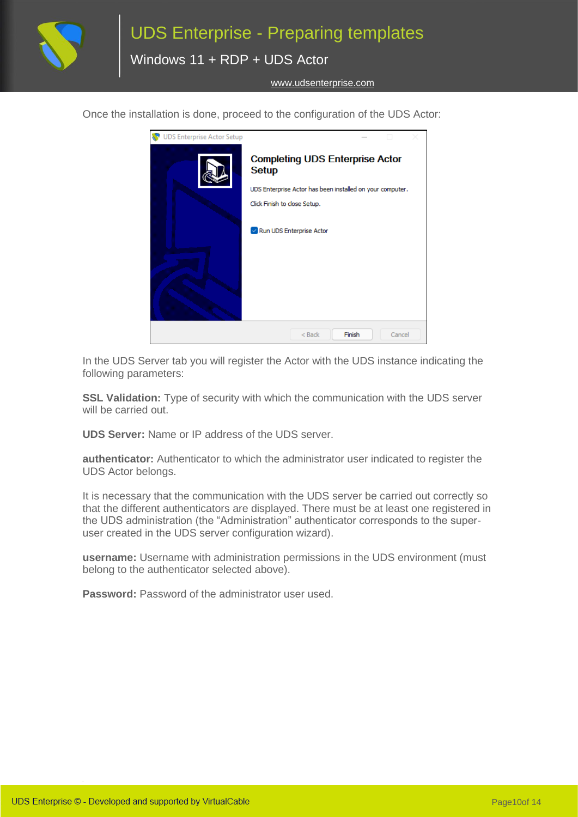

Once the installation is done, proceed to the configuration of the UDS Actor:



In the UDS Server tab you will register the Actor with the UDS instance indicating the following parameters:

**SSL Validation:** Type of security with which the communication with the UDS server will be carried out.

**UDS Server:** Name or IP address of the UDS server.

**authenticator:** Authenticator to which the administrator user indicated to register the UDS Actor belongs.

It is necessary that the communication with the UDS server be carried out correctly so that the different authenticators are displayed. There must be at least one registered in the UDS administration (the "Administration" authenticator corresponds to the superuser created in the UDS server configuration wizard).

**username:** Username with administration permissions in the UDS environment (must belong to the authenticator selected above).

**Password:** Password of the administrator user used.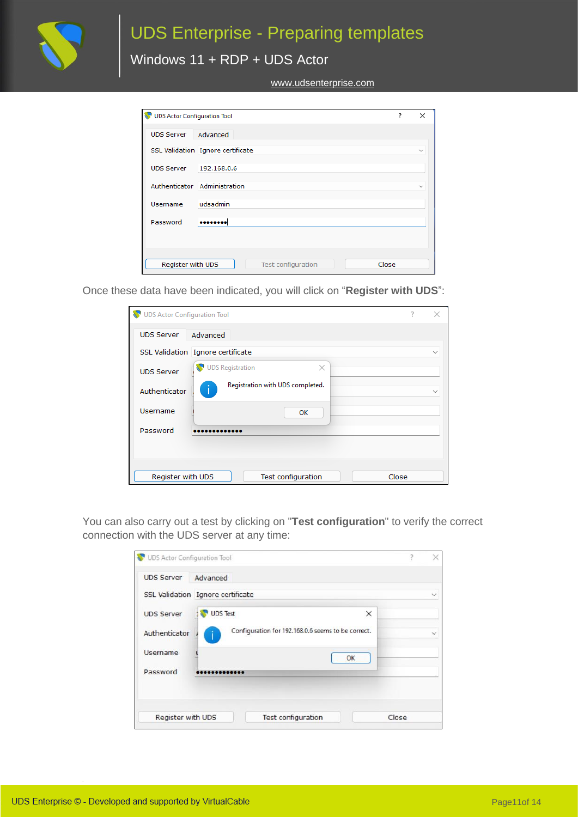

Windows 11 + RDP + UDS Actor

[www.udsenterprise.com](http://www.udsenterprise.com/)

| UDS Actor Configuration Tool |                                   | ? | ×            |
|------------------------------|-----------------------------------|---|--------------|
| <b>UDS Server</b>            | Advanced                          |   |              |
|                              | SSL Validation Ignore certificate |   | $\checkmark$ |
| <b>UDS Server</b>            | 192.168.0.6                       |   |              |
|                              | Authenticator Administration      |   | $\checkmark$ |
| Username                     | udsadmin                          |   |              |
| Password                     |                                   |   |              |
|                              |                                   |   |              |
|                              |                                   |   |              |
| Register with UDS            | Test configuration<br>Close       |   |              |

Once these data have been indicated, you will click on "**Register with UDS**":

| UDS Actor Configuration Tool                            |                                  |  |  |  |  |  |  |
|---------------------------------------------------------|----------------------------------|--|--|--|--|--|--|
| <b>UDS Server</b><br>Advanced                           |                                  |  |  |  |  |  |  |
| SSL Validation Ignore certificate                       |                                  |  |  |  |  |  |  |
| <b>UDS Server</b>                                       | UDS Registration<br>$\times$     |  |  |  |  |  |  |
| Authenticator                                           | Registration with UDS completed. |  |  |  |  |  |  |
| Username                                                | OK                               |  |  |  |  |  |  |
| Password<br>                                            |                                  |  |  |  |  |  |  |
|                                                         |                                  |  |  |  |  |  |  |
|                                                         |                                  |  |  |  |  |  |  |
| Register with UDS<br><b>Test configuration</b><br>Close |                                  |  |  |  |  |  |  |

You can also carry out a test by clicking on "**Test configuration**" to verify the correct connection with the UDS server at any time:

| UDS Actor Configuration Tool |                                                    | 7     | $\times$     |
|------------------------------|----------------------------------------------------|-------|--------------|
| <b>UDS Server</b>            | Advanced                                           |       |              |
|                              | SSL Validation Ignore certificate                  |       | $\checkmark$ |
| <b>UDS Server</b>            | <b>UDS Test</b><br>X                               |       |              |
| Authenticator                | Configuration for 192.168.0.6 seems to be correct. |       | $\checkmark$ |
| Username                     | OK                                                 |       |              |
| Password                     |                                                    |       |              |
|                              |                                                    |       |              |
| <b>Register with UDS</b>     | <b>Test configuration</b>                          | Close |              |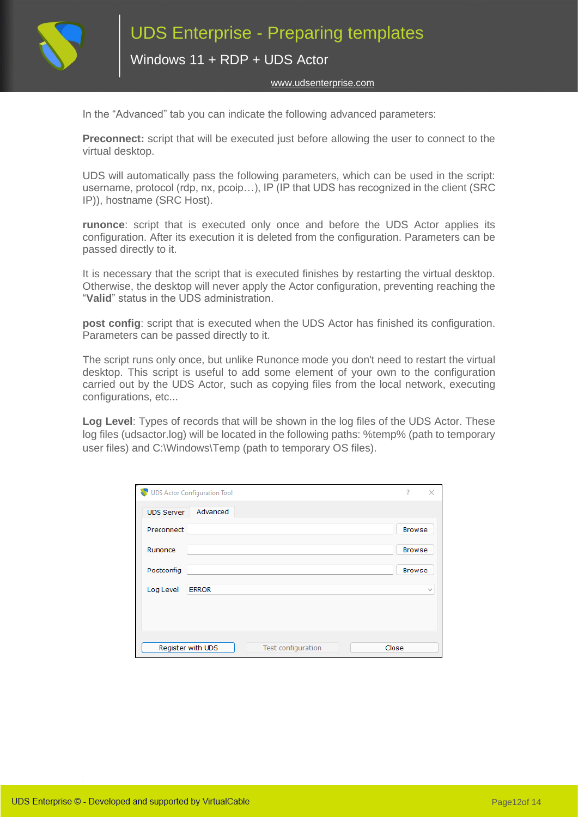

Windows 11 + RDP + UDS Actor

#### [www.udsenterprise.com](http://www.udsenterprise.com/)

In the "Advanced" tab you can indicate the following advanced parameters:

**Preconnect:** script that will be executed just before allowing the user to connect to the virtual desktop.

UDS will automatically pass the following parameters, which can be used in the script: username, protocol (rdp, nx, pcoip…), IP (IP that UDS has recognized in the client (SRC IP)), hostname (SRC Host).

**runonce**: script that is executed only once and before the UDS Actor applies its configuration. After its execution it is deleted from the configuration. Parameters can be passed directly to it.

It is necessary that the script that is executed finishes by restarting the virtual desktop. Otherwise, the desktop will never apply the Actor configuration, preventing reaching the "**Valid**" status in the UDS administration.

**post config**: script that is executed when the UDS Actor has finished its configuration. Parameters can be passed directly to it.

The script runs only once, but unlike Runonce mode you don't need to restart the virtual desktop. This script is useful to add some element of your own to the configuration carried out by the UDS Actor, such as copying files from the local network, executing configurations, etc...

**Log Level**: Types of records that will be shown in the log files of the UDS Actor. These log files (udsactor.log) will be located in the following paths: %temp% (path to temporary user files) and C:\Windows\Temp (path to temporary OS files).

|                   | UDS Actor Configuration Tool |                    | ?<br>×        |
|-------------------|------------------------------|--------------------|---------------|
| <b>UDS Server</b> | Advanced                     |                    |               |
| Preconnect        |                              |                    | <b>Browse</b> |
| Runonce           |                              |                    | <b>Browse</b> |
| Postconfig        |                              |                    | <b>Browse</b> |
| Log Level         | <b>ERROR</b>                 |                    | $\checkmark$  |
|                   |                              |                    |               |
|                   |                              |                    |               |
|                   | Register with UDS            | Test configuration | Close         |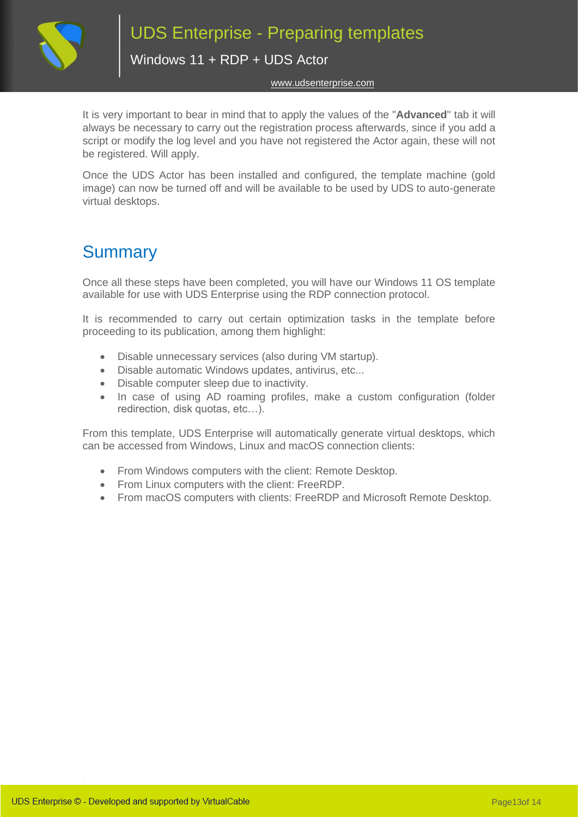

Windows 11 + RDP + UDS Actor

#### [www.udsenterprise.com](http://www.udsenterprise.com/)

It is very important to bear in mind that to apply the values of the "**Advanced**" tab it will always be necessary to carry out the registration process afterwards, since if you add a script or modify the log level and you have not registered the Actor again, these will not be registered. Will apply.

Once the UDS Actor has been installed and configured, the template machine (gold image) can now be turned off and will be available to be used by UDS to auto-generate virtual desktops.

## <span id="page-13-0"></span>**Summary**

Once all these steps have been completed, you will have our Windows 11 OS template available for use with UDS Enterprise using the RDP connection protocol.

It is recommended to carry out certain optimization tasks in the template before proceeding to its publication, among them highlight:

- Disable unnecessary services (also during VM startup).
- Disable automatic Windows updates, antivirus, etc...
- Disable computer sleep due to inactivity.
- In case of using AD roaming profiles, make a custom configuration (folder redirection, disk quotas, etc…).

From this template, UDS Enterprise will automatically generate virtual desktops, which can be accessed from Windows, Linux and macOS connection clients:

- From Windows computers with the client: Remote Desktop.
- From Linux computers with the client: FreeRDP.
- From macOS computers with clients: FreeRDP and Microsoft Remote Desktop.